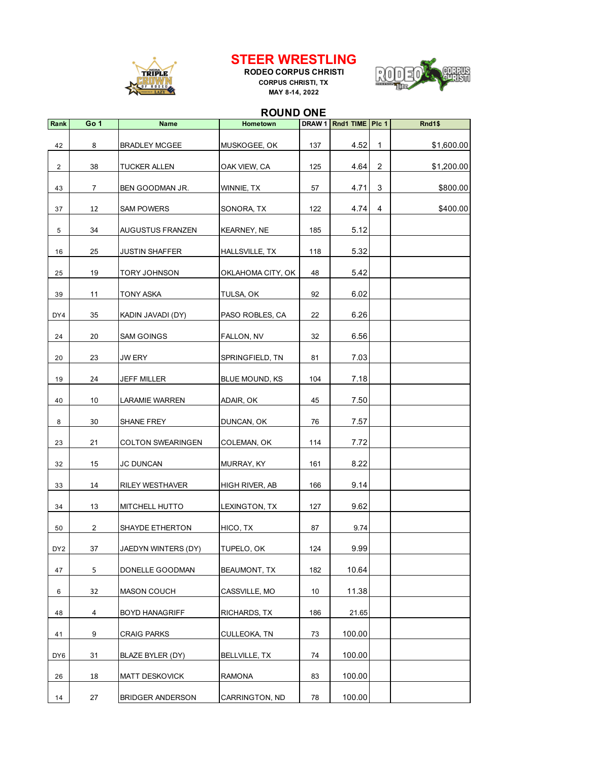

## **STEER WRESTLING**

**RODEO CORPUS CHRISTI CORPUS CHRISTI, TX MAY 8-14, 2022**



## **ROUND ONE**

| Rank            | Go 1           | <b>Name</b>             | Hometown           |     | DRAW 1 Rnd1 TIME   Plc 1 |                | Rnd1\$     |
|-----------------|----------------|-------------------------|--------------------|-----|--------------------------|----------------|------------|
| 42              | 8              | <b>BRADLEY MCGEE</b>    | MUSKOGEE, OK       | 137 | 4.52                     | $\mathbf 1$    | \$1,600.00 |
| $\overline{2}$  | 38             | TUCKER ALLEN            | OAK VIEW, CA       | 125 | 4.64                     | $\overline{2}$ | \$1,200.00 |
| 43              | 7              | BEN GOODMAN JR.         | WINNIE, TX         | 57  | 4.71                     | 3              | \$800.00   |
| 37              | 12             | <b>SAM POWERS</b>       | SONORA, TX         | 122 | 4.74                     | 4              | \$400.00   |
| 5               | 34             | AUGUSTUS FRANZEN        | <b>KEARNEY, NE</b> | 185 | 5.12                     |                |            |
| 16              | 25             | <b>JUSTIN SHAFFER</b>   | HALLSVILLE, TX     | 118 | 5.32                     |                |            |
| 25              | 19             | TORY JOHNSON            | OKLAHOMA CITY, OK  | 48  | 5.42                     |                |            |
| 39              | 11             | TONY ASKA               | TULSA, OK          | 92  | 6.02                     |                |            |
| DY4             | 35             | KADIN JAVADI (DY)       | PASO ROBLES, CA    | 22  | 6.26                     |                |            |
| 24              | 20             | <b>SAM GOINGS</b>       | FALLON, NV         | 32  | 6.56                     |                |            |
| 20              | 23             | JW ERY                  | SPRINGFIELD, TN    | 81  | 7.03                     |                |            |
| 19              | 24             | JEFF MILLER             | BLUE MOUND, KS     | 104 | 7.18                     |                |            |
| 40              | 10             | <b>LARAMIE WARREN</b>   | ADAIR, OK          | 45  | 7.50                     |                |            |
| 8               | 30             | SHANE FREY              | DUNCAN, OK         | 76  | 7.57                     |                |            |
| 23              | 21             | COLTON SWEARINGEN       | COLEMAN, OK        | 114 | 7.72                     |                |            |
| 32              | 15             | <b>JC DUNCAN</b>        | MURRAY, KY         | 161 | 8.22                     |                |            |
| 33              | 14             | <b>RILEY WESTHAVER</b>  | HIGH RIVER, AB     | 166 | 9.14                     |                |            |
| 34              | 13             | MITCHELL HUTTO          | LEXINGTON, TX      | 127 | 9.62                     |                |            |
| 50              | $\overline{2}$ | SHAYDE ETHERTON         | HICO, TX           | 87  | 9.74                     |                |            |
| DY <sub>2</sub> | 37             | JAEDYN WINTERS (DY)     | TUPELO, OK         | 124 | 9.99                     |                |            |
| 47              | 5              | DONELLE GOODMAN         | BEAUMONT, TX       | 182 | 10.64                    |                |            |
| 6               | 32             | <b>MASON COUCH</b>      | CASSVILLE, MO      | 10  | 11.38                    |                |            |
| 48              | $\overline{4}$ | <b>BOYD HANAGRIFF</b>   | RICHARDS, TX       | 186 | 21.65                    |                |            |
| 41              | 9              | <b>CRAIG PARKS</b>      | CULLEOKA, TN       | 73  | 100.00                   |                |            |
| DY <sub>6</sub> | 31             | BLAZE BYLER (DY)        | BELLVILLE, TX      | 74  | 100.00                   |                |            |
| 26              | 18             | <b>MATT DESKOVICK</b>   | RAMONA             | 83  | 100.00                   |                |            |
| 14              | 27             | <b>BRIDGER ANDERSON</b> | CARRINGTON, ND     | 78  | 100.00                   |                |            |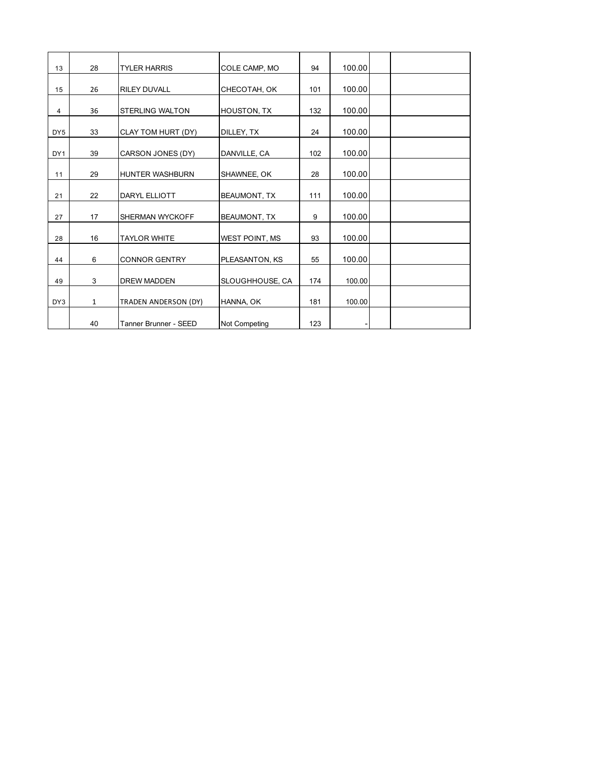| 13              | 28           | <b>TYLER HARRIS</b>    | COLE CAMP, MO         | 94  | 100.00 |  |
|-----------------|--------------|------------------------|-----------------------|-----|--------|--|
| 15              | 26           | <b>RILEY DUVALL</b>    | CHECOTAH, OK          | 101 | 100.00 |  |
| 4               | 36           | <b>STERLING WALTON</b> | HOUSTON, TX           | 132 | 100.00 |  |
| DY <sub>5</sub> | 33           | CLAY TOM HURT (DY)     | DILLEY, TX            | 24  | 100.00 |  |
| DY <sub>1</sub> | 39           | CARSON JONES (DY)      | DANVILLE, CA          | 102 | 100.00 |  |
| 11              | 29           | <b>HUNTER WASHBURN</b> | SHAWNEE, OK           | 28  | 100.00 |  |
| 21              | 22           | DARYL ELLIOTT          | <b>BEAUMONT, TX</b>   | 111 | 100.00 |  |
| 27              | 17           | <b>SHERMAN WYCKOFF</b> | BEAUMONT, TX          | 9   | 100.00 |  |
| 28              | 16           | <b>TAYLOR WHITE</b>    | <b>WEST POINT, MS</b> | 93  | 100.00 |  |
| 44              | 6            | <b>CONNOR GENTRY</b>   | PLEASANTON, KS        | 55  | 100.00 |  |
| 49              | 3            | <b>DREW MADDEN</b>     | SLOUGHHOUSE, CA       | 174 | 100.00 |  |
| DY3             | $\mathbf{1}$ | TRADEN ANDERSON (DY)   | HANNA, OK             | 181 | 100.00 |  |
|                 | 40           | Tanner Brunner - SEED  | Not Competing         | 123 |        |  |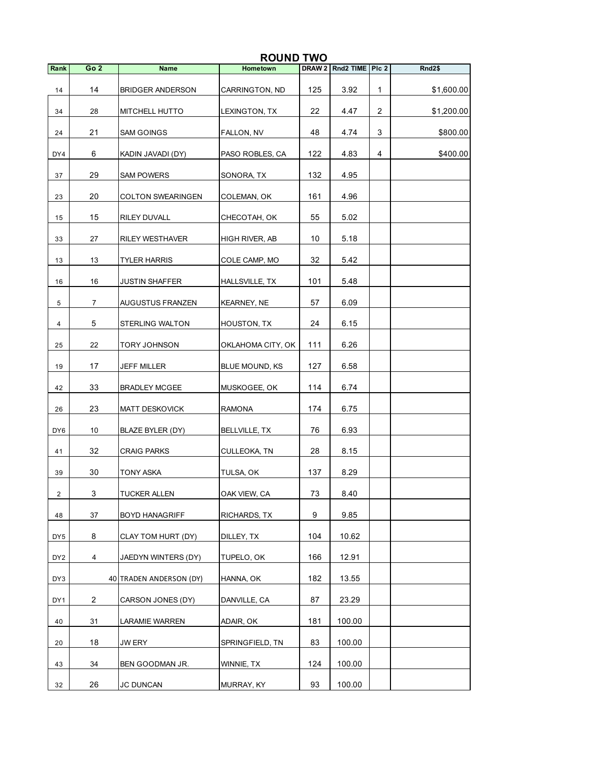|                 | <b>ROUND TWO</b> |                          |                    |                                                                                                                                                                                                         |                        |                |            |
|-----------------|------------------|--------------------------|--------------------|---------------------------------------------------------------------------------------------------------------------------------------------------------------------------------------------------------|------------------------|----------------|------------|
| Rank            | Go <sub>2</sub>  | <b>Name</b>              | Hometown           |                                                                                                                                                                                                         | DRAW 2 Rnd2 TIME PIc 2 |                | Rnd2\$     |
| 14              | 14               | <b>BRIDGER ANDERSON</b>  | CARRINGTON, ND     | 125                                                                                                                                                                                                     | 3.92                   | 1              | \$1,600.00 |
| 34              | 28               | MITCHELL HUTTO           | LEXINGTON, TX      | 22                                                                                                                                                                                                      | 4.47                   | $\overline{2}$ | \$1,200.00 |
| 24              | 21               | SAM GOINGS               | FALLON, NV         | 48                                                                                                                                                                                                      | 4.74                   | 3              | \$800.00   |
| DY4             | 6                | KADIN JAVADI (DY)        | PASO ROBLES, CA    | 122                                                                                                                                                                                                     | 4.83                   | 4              | \$400.00   |
| 37              | 29               | <b>SAM POWERS</b>        | SONORA, TX         | 132                                                                                                                                                                                                     | 4.95                   |                |            |
| 23              | 20               | <b>COLTON SWEARINGEN</b> | COLEMAN, OK        | 161<br>4.96<br>55<br>5.02<br>10<br>5.18<br>32<br>5.42<br>101<br>5.48<br>57<br>6.09<br>24<br>6.15<br>111<br>6.26<br>6.58<br>127<br>114<br>6.74<br>174<br>6.75<br>76<br>6.93<br>28<br>8.15<br>8.29<br>137 |                        |                |            |
| 15              | 15               | RILEY DUVALL             | CHECOTAH, OK       |                                                                                                                                                                                                         |                        |                |            |
| 33              | 27               | <b>RILEY WESTHAVER</b>   | HIGH RIVER, AB     |                                                                                                                                                                                                         |                        |                |            |
| 13              | 13               | <b>TYLER HARRIS</b>      | COLE CAMP, MO      |                                                                                                                                                                                                         |                        |                |            |
| 16              | 16               | JUSTIN SHAFFER           | HALLSVILLE, TX     |                                                                                                                                                                                                         |                        |                |            |
| 5               | $\overline{7}$   | AUGUSTUS FRANZEN         | <b>KEARNEY, NE</b> |                                                                                                                                                                                                         |                        |                |            |
| 4               | 5                | <b>STERLING WALTON</b>   | HOUSTON, TX        |                                                                                                                                                                                                         |                        |                |            |
| 25              | 22               | TORY JOHNSON             | OKLAHOMA CITY, OK  |                                                                                                                                                                                                         |                        |                |            |
| 19              | 17               | JEFF MILLER              | BLUE MOUND, KS     |                                                                                                                                                                                                         |                        |                |            |
| 42              | 33               | <b>BRADLEY MCGEE</b>     | MUSKOGEE, OK       |                                                                                                                                                                                                         |                        |                |            |
| 26              | 23               | <b>MATT DESKOVICK</b>    | <b>RAMONA</b>      |                                                                                                                                                                                                         |                        |                |            |
| DY6             | 10               | BLAZE BYLER (DY)         | BELLVILLE, TX      |                                                                                                                                                                                                         |                        |                |            |
| 41              | 32               | <b>CRAIG PARKS</b>       | CULLEOKA, TN       |                                                                                                                                                                                                         |                        |                |            |
| 39              | 30               | TONY ASKA                | TULSA, OK          |                                                                                                                                                                                                         |                        |                |            |
| $\overline{2}$  | 3                | TUCKER ALLEN             | OAK VIEW, CA       | 73                                                                                                                                                                                                      | 8.40                   |                |            |
| 48              | 37               | <b>BOYD HANAGRIFF</b>    | RICHARDS, TX       | 9                                                                                                                                                                                                       | 9.85                   |                |            |
| DY <sub>5</sub> | 8                | CLAY TOM HURT (DY)       | DILLEY, TX         | 104                                                                                                                                                                                                     | 10.62                  |                |            |
| DY <sub>2</sub> | $\overline{4}$   | JAEDYN WINTERS (DY)      | TUPELO, OK         | 166                                                                                                                                                                                                     | 12.91                  |                |            |
| DY3             |                  | 40 TRADEN ANDERSON (DY)  | HANNA, OK          | 182                                                                                                                                                                                                     | 13.55                  |                |            |
| DY1             | $\overline{2}$   | CARSON JONES (DY)        | DANVILLE, CA       | 87                                                                                                                                                                                                      | 23.29                  |                |            |
| 40              | 31               | LARAMIE WARREN           | ADAIR, OK          | 181                                                                                                                                                                                                     | 100.00                 |                |            |
| 20              | 18               | JW ERY                   | SPRINGFIELD, TN    | 83                                                                                                                                                                                                      | 100.00                 |                |            |
| 43              | 34               | BEN GOODMAN JR.          | WINNIE, TX         | 124                                                                                                                                                                                                     | 100.00                 |                |            |
| 32              | 26               | <b>JC DUNCAN</b>         | MURRAY, KY         | 93                                                                                                                                                                                                      | 100.00                 |                |            |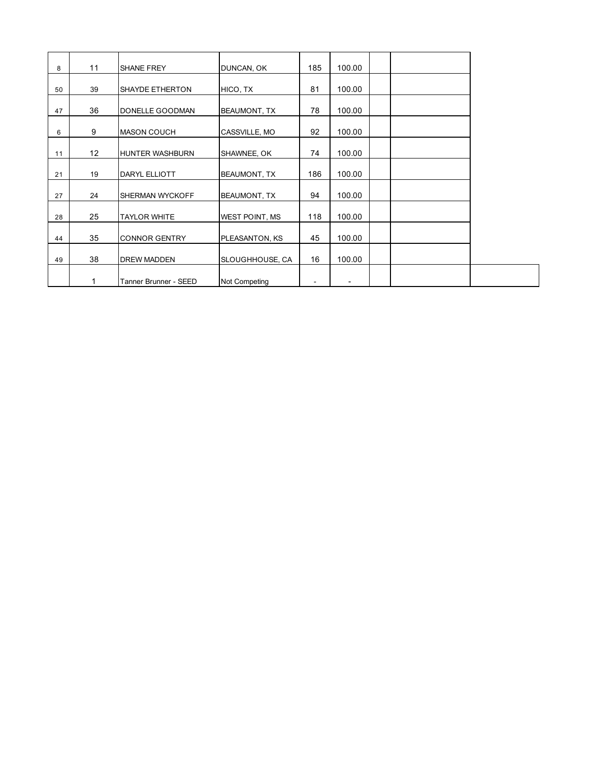| 8  | 11 | SHANE FREY             | DUNCAN, OK            | 185 | 100.00 |  |
|----|----|------------------------|-----------------------|-----|--------|--|
|    | 39 | <b>SHAYDE ETHERTON</b> |                       | 81  | 100.00 |  |
| 50 |    |                        | HICO, TX              |     |        |  |
| 47 | 36 | DONELLE GOODMAN        | <b>BEAUMONT, TX</b>   | 78  | 100.00 |  |
| 6  | 9  | <b>MASON COUCH</b>     | CASSVILLE, MO         | 92  | 100.00 |  |
| 11 | 12 | HUNTER WASHBURN        | SHAWNEE, OK           | 74  | 100.00 |  |
| 21 | 19 | DARYL ELLIOTT          | <b>BEAUMONT, TX</b>   | 186 | 100.00 |  |
| 27 | 24 | SHERMAN WYCKOFF        | <b>BEAUMONT, TX</b>   | 94  | 100.00 |  |
| 28 | 25 | <b>TAYLOR WHITE</b>    | <b>WEST POINT, MS</b> | 118 | 100.00 |  |
| 44 | 35 | <b>CONNOR GENTRY</b>   | PLEASANTON, KS        | 45  | 100.00 |  |
| 49 | 38 | <b>DREW MADDEN</b>     | SLOUGHHOUSE, CA       | 16  | 100.00 |  |
|    |    | Tanner Brunner - SEED  | Not Competing         |     |        |  |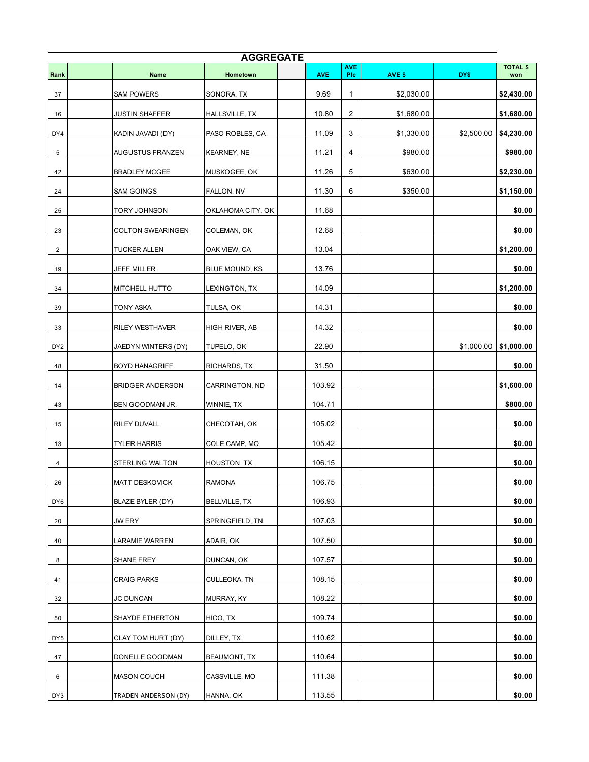| <b>AGGREGATE</b> |                          |                       |            |                          |            |            |                        |  |  |
|------------------|--------------------------|-----------------------|------------|--------------------------|------------|------------|------------------------|--|--|
| Rank             | <b>Name</b>              | Hometown              | <b>AVE</b> | <b>AVE</b><br><b>PIc</b> | AVE \$     | DY\$       | <b>TOTAL \$</b><br>won |  |  |
| 37               | <b>SAM POWERS</b>        | SONORA, TX            | 9.69       | $\mathbf{1}$             | \$2,030.00 |            | \$2,430.00             |  |  |
| 16               | <b>JUSTIN SHAFFER</b>    | HALLSVILLE, TX        | 10.80      | $\overline{c}$           | \$1,680.00 |            | \$1,680.00             |  |  |
| DY4              | KADIN JAVADI (DY)        | PASO ROBLES, CA       | 11.09      | 3                        | \$1,330.00 | \$2,500.00 | \$4,230.00             |  |  |
| 5                | AUGUSTUS FRANZEN         | <b>KEARNEY, NE</b>    | 11.21      | 4                        | \$980.00   |            | \$980.00               |  |  |
| 42               | <b>BRADLEY MCGEE</b>     | MUSKOGEE, OK          | 11.26      | 5                        | \$630.00   |            | \$2,230.00             |  |  |
| 24               | SAM GOINGS               | FALLON, NV            | 11.30      | 6                        | \$350.00   |            | \$1,150.00             |  |  |
| 25               | <b>TORY JOHNSON</b>      | OKLAHOMA CITY, OK     | 11.68      |                          |            |            | \$0.00                 |  |  |
| 23               | <b>COLTON SWEARINGEN</b> | COLEMAN, OK           | 12.68      |                          |            |            | \$0.00                 |  |  |
| $\overline{c}$   | <b>TUCKER ALLEN</b>      | OAK VIEW, CA          | 13.04      |                          |            |            | \$1,200.00             |  |  |
| 19               | <b>JEFF MILLER</b>       | <b>BLUE MOUND, KS</b> | 13.76      |                          |            |            | \$0.00                 |  |  |
| 34               | MITCHELL HUTTO           | LEXINGTON, TX         | 14.09      |                          |            |            | \$1,200.00             |  |  |
| 39               | <b>TONY ASKA</b>         | TULSA, OK             | 14.31      |                          |            |            | \$0.00                 |  |  |
| 33               | <b>RILEY WESTHAVER</b>   | HIGH RIVER, AB        | 14.32      |                          |            |            | \$0.00                 |  |  |
| DY <sub>2</sub>  | JAEDYN WINTERS (DY)      | TUPELO, OK            | 22.90      |                          |            | \$1,000.00 | \$1,000.00             |  |  |
| 48               | <b>BOYD HANAGRIFF</b>    | RICHARDS, TX          | 31.50      |                          |            |            | \$0.00                 |  |  |
| 14               | <b>BRIDGER ANDERSON</b>  | CARRINGTON, ND        | 103.92     |                          |            |            | \$1,600.00             |  |  |
| 43               | BEN GOODMAN JR.          | WINNIE, TX            | 104.71     |                          |            |            | \$800.00               |  |  |
| 15               | RILEY DUVALL             | CHECOTAH, OK          | 105.02     |                          |            |            | \$0.00                 |  |  |
| 13               | <b>TYLER HARRIS</b>      | COLE CAMP, MO         | 105.42     |                          |            |            | \$0.00                 |  |  |
| 4                | <b>STERLING WALTON</b>   | HOUSTON, TX           | 106.15     |                          |            |            | \$0.00                 |  |  |
| 26               | <b>MATT DESKOVICK</b>    | <b>RAMONA</b>         | 106.75     |                          |            |            | \$0.00                 |  |  |
| DY6              | BLAZE BYLER (DY)         | <b>BELLVILLE, TX</b>  | 106.93     |                          |            |            | \$0.00                 |  |  |
| 20               | JW ERY                   | SPRINGFIELD, TN       | 107.03     |                          |            |            | \$0.00                 |  |  |
| 40               | <b>LARAMIE WARREN</b>    | ADAIR, OK             | 107.50     |                          |            |            | \$0.00                 |  |  |
| 8                | SHANE FREY               | DUNCAN, OK            | 107.57     |                          |            |            | \$0.00                 |  |  |
| 41               | <b>CRAIG PARKS</b>       | CULLEOKA, TN          | 108.15     |                          |            |            | \$0.00                 |  |  |
| 32               | <b>JC DUNCAN</b>         | MURRAY, KY            | 108.22     |                          |            |            | \$0.00                 |  |  |
| 50               | SHAYDE ETHERTON          | HICO, TX              | 109.74     |                          |            |            | \$0.00                 |  |  |
| DY <sub>5</sub>  | CLAY TOM HURT (DY)       | DILLEY, TX            | 110.62     |                          |            |            | \$0.00                 |  |  |
| 47               | DONELLE GOODMAN          | BEAUMONT, TX          | 110.64     |                          |            |            | \$0.00                 |  |  |
| 6                | <b>MASON COUCH</b>       | CASSVILLE, MO         | 111.38     |                          |            |            | \$0.00                 |  |  |
| DY3              | TRADEN ANDERSON (DY)     | HANNA, OK             | 113.55     |                          |            |            | \$0.00                 |  |  |